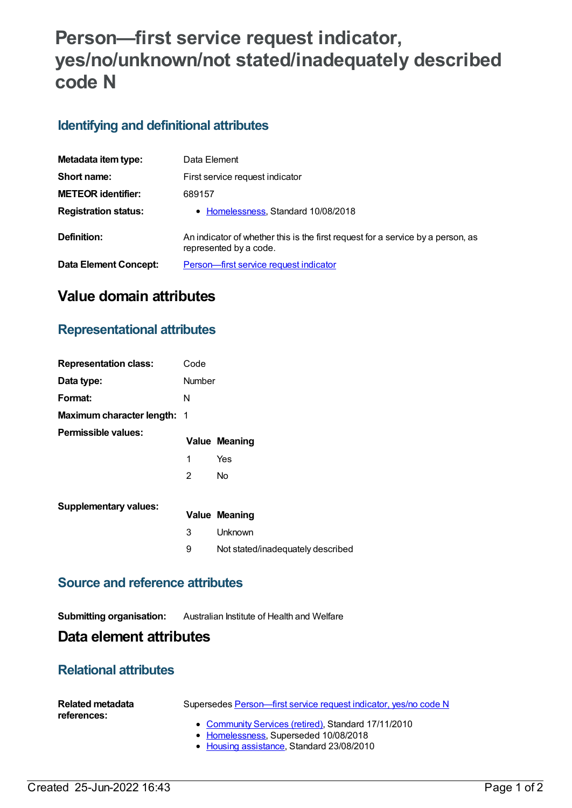# **Person—first service request indicator, yes/no/unknown/not stated/inadequately described code N**

# **Identifying and definitional attributes**

| Metadata item type:          | Data Element                                                                                              |
|------------------------------|-----------------------------------------------------------------------------------------------------------|
| Short name:                  | First service request indicator                                                                           |
| <b>METEOR identifier:</b>    | 689157                                                                                                    |
| <b>Registration status:</b>  | • Homelessness, Standard 10/08/2018                                                                       |
| Definition:                  | An indicator of whether this is the first request for a service by a person, as<br>represented by a code. |
| <b>Data Element Concept:</b> | Person-first service request indicator                                                                    |

# **Value domain attributes**

### **Representational attributes**

| <b>Representation class:</b>       | Code           |                                   |
|------------------------------------|----------------|-----------------------------------|
| Data type:                         | <b>Number</b>  |                                   |
| Format:                            | N              |                                   |
| <b>Maximum character length: 1</b> |                |                                   |
| Permissible values:                |                | <b>Value Meaning</b>              |
|                                    | 1              | Yes                               |
|                                    | $\overline{2}$ | <b>No</b>                         |
| <b>Supplementary values:</b>       |                |                                   |
|                                    |                | <b>Value Meaning</b>              |
|                                    | 3              | Unknown                           |
|                                    | 9              | Not stated/inadequately described |

#### **Source and reference attributes**

#### **Submitting organisation:** Australian Institute of Health and Welfare

### **Data element attributes**

### **Relational attributes**

| <b>Related metadata</b><br>references: | Supersedes Person—first service request indicator, yes/no code N                             |
|----------------------------------------|----------------------------------------------------------------------------------------------|
|                                        | • Community Services (retired), Standard 17/11/2010<br>• Homelessness, Superseded 10/08/2018 |
|                                        | a Havelen esclatence Chanderd 00/00/0040                                                     |

• <u>Housing [assistance](https://meteor.aihw.gov.au/RegistrationAuthority/11)</u>, Standard 23/08/2010